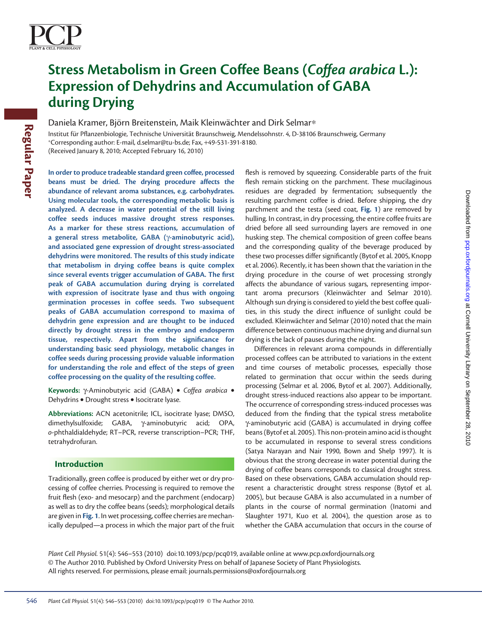

# **Stress Metabolism in Green Coffee Beans (Coffea arabica L.): Expression of Dehydrins and Accumulation of GABA during Drying**

Daniela Kramer, Björn Breitenstein, Maik Kleinwächter and Dirk Selmar\*

Institut für Pflanzenbiologie, Technische Universität Braunschweig, Mendelssohnstr. 4, D-38106 Braunschweig, Germany <sup>∗</sup> Corresponding author: E-mail, d.selmar@tu-bs.de ; Fax, + 49-531-391-8180 . (Received January 8, 2010; Accepted February 16, 2010)

 **In order to produce tradeable standard green coffee, processed beans must be dried. The drying procedure affects the abundance of relevant aroma substances, e.g. carbohydrates. Using molecular tools, the corresponding metabolic basis is analyzed. A decrease in water potential of the still living coffee seeds induces massive drought stress responses. As a marker for these stress reactions, accumulation of a general stress metabolite, GABA (** γ **-aminobutyric acid), and associated gene expression of drought stress-associated dehydrins were monitored. The results of this study indicate that metabolism in drying coffee beans is quite complex**  since several events trigger accumulation of GABA. The first **peak of GABA accumulation during drying is correlated with expression of isocitrate lyase and thus with ongoing germination processes in coffee seeds. Two subsequent peaks of GABA accumulation correspond to maxima of dehydrin gene expression and are thought to be induced directly by drought stress in the embryo and endosperm**  tissue, respectively. Apart from the significance for **understanding basic seed physiology, metabolic changes in coffee seeds during processing provide valuable information for understanding the role and effect of the steps of green coffee processing on the quality of the resulting coffee. Fractive filter Pharaenbiologie, Techniche Universität Braunschweig, Mond<br>
Chromeonologica unitro Exempli, distantarient-base Fract 410-531-391-818<br>
(Received January 8, 2010), Accepted February 16, 2010)<br>
In order to pro** 

 **Keywords:** γ -Aminobutyric acid (GABA) • *Coffea arabica* • Dehydrins • Drought stress • Isocitrate lyase.

Abbreviations: ACN acetonitrile; ICL, isocitrate lyase; DMSO, dimethylsulfoxide; GABA, γ-aminobutyric acid; OPA, o-phthaldialdehyde; RT-PCR, reverse transcription-PCR; THF, tetrahydrofuran.

### **Introduction**

 Traditionally, green coffee is produced by either wet or dry processing of coffee cherries. Processing is required to remove the fruit flesh (exo- and mesocarp) and the parchment (endocarp) as well as to dry the coffee beans (seeds); morphological details are given in **Fig. 1** . In wet processing, coffee cherries are mechanically depulped—a process in which the major part of the fruit

flesh is removed by squeezing. Considerable parts of the fruit flesh remain sticking on the parchment. These mucilaginous residues are degraded by fermentation; subsequently the resulting parchment coffee is dried. Before shipping, the dry parchment and the testa (seed coat, **Fig. 1** ) are removed by hulling. In contrast, in dry processing, the entire coffee fruits are dried before all seed surrounding layers are removed in one husking step. The chemical composition of green coffee beans and the corresponding quality of the beverage produced by these two processes differ significantly (Bytof et al. 2005, Knopp et al. 2006). Recently, it has been shown that the variation in the drying procedure in the course of wet processing strongly affects the abundance of various sugars, representing important aroma precursors (Kleinwächter and Selmar 2010). Although sun drying is considered to yield the best coffee qualities, in this study the direct influence of sunlight could be excluded. Kleinwächter and Selmar (2010) noted that the main difference between continuous machine drying and diurnal sun drying is the lack of pauses during the night.

 Differences in relevant aroma compounds in differentially processed coffees can be attributed to variations in the extent and time courses of metabolic processes, especially those related to germination that occur within the seeds during processing (Selmar et al. 2006, Bytof et al. 2007). Additionally, drought stress-induced reactions also appear to be important. The occurrence of corresponding stress-induced processes was deduced from the finding that the typical stress metabolite γ -aminobutyric acid (GABA) is accumulated in drying coffee beans ( Bytof et al. 2005 ). This non-protein amino acid is thought to be accumulated in response to several stress conditions (Satya Narayan and Nair 1990, Bown and Shelp 1997). It is obvious that the strong decrease in water potential during the drying of coffee beans corresponds to classical drought stress. Based on these observations, GABA accumulation should represent a characteristic drought stress response (Bytof et al. 2005 ), but because GABA is also accumulated in a number of plants in the course of normal germination (Inatomi and Slaughter 1971, Kuo et al. 2004), the question arose as to whether the GABA accumulation that occurs in the course of

*Plant Cell Physiol.* 51(4): 546–553 (2010) doi:10.1093/pcp/pcq019, available online at www.pcp.oxfordjournals.org © The Author 2010. Published by Oxford University Press on behalf of Japanese Society of Plant Physiologists. All rights reserved. For permissions, please email: journals.permissions@oxfordjournals.org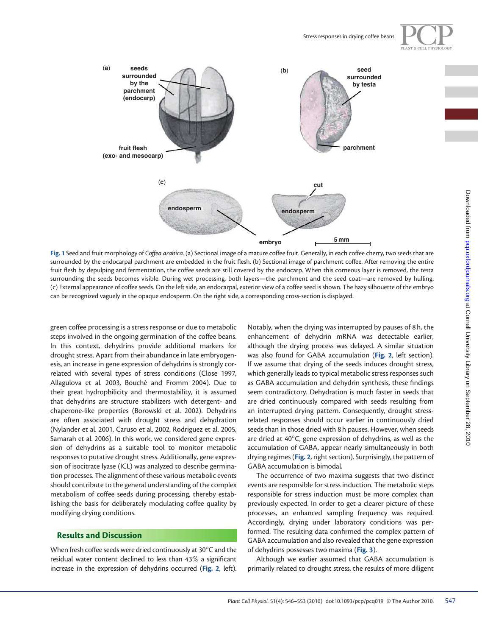



 **Fig. 1** Seed and fruit morphology of *Coffea arabica.* (a) Sectional image of a mature coffee fruit. Generally, in each coffee cherry, two seeds that are surrounded by the endocarpal parchment are embedded in the fruit flesh. (b) Sectional image of parchment coffee. After removing the entire fruit flesh by depulping and fermentation, the coffee seeds are still covered by the endocarp. When this corneous layer is removed, the testa surrounding the seeds becomes visible. During wet processing, both layers—the parchment and the seed coat—are removed by hulling. (c) External appearance of coffee seeds. On the left side, an endocarpal, exterior view of a coffee seed is shown. The hazy silhouette of the embryo can be recognized vaguely in the opaque endosperm. On the right side, a corresponding cross-section is displayed.

green coffee processing is a stress response or due to metabolic steps involved in the ongoing germination of the coffee beans. In this context, dehydrins provide additional markers for drought stress. Apart from their abundance in late embryogenesis, an increase in gene expression of dehydrins is strongly correlated with several types of stress conditions (Close 1997, Allagulova et al. 2003, Bouché and Fromm 2004). Due to their great hydrophilicity and thermostability, it is assumed that dehydrins are structure stabilizers with detergent- and chaperone-like properties ( Borowski et al. 2002 ). Dehydrins are often associated with drought stress and dehydration (Nylander et al. 2001, Caruso et al. 2002, Rodriguez et al. 2005, Samarah et al. 2006). In this work, we considered gene expression of dehydrins as a suitable tool to monitor metabolic responses to putative drought stress. Additionally, gene expression of isocitrate lyase (ICL) was analyzed to describe germination processes. The alignment of these various metabolic events should contribute to the general understanding of the complex metabolism of coffee seeds during processing, thereby establishing the basis for deliberately modulating coffee quality by modifying drying conditions.

## **Results and Discussion**

When fresh coffee seeds were dried continuously at 30°C and the residual water content declined to less than  $43\%$  a significant increase in the expression of dehydrins occurred (**Fig. 2** , left). Notably, when the drying was interrupted by pauses of 8 h, the enhancement of dehydrin mRNA was detectable earlier, although the drying process was delayed. A similar situation was also found for GABA accumulation (Fig. 2, left section). If we assume that drying of the seeds induces drought stress, which generally leads to typical metabolic stress responses such as GABA accumulation and dehydrin synthesis, these findings seem contradictory. Dehydration is much faster in seeds that are dried continuously compared with seeds resulting from an interrupted drying pattern. Consequently, drought stressrelated responses should occur earlier in continuously dried seeds than in those dried with 8 h pauses. However, when seeds are dried at  $40^{\circ}$ C, gene expression of dehydrins, as well as the accumulation of GABA, appear nearly simultaneously in both drying regimes ( **Fig. 2** , right section). Surprisingly, the pattern of GABA accumulation is bimodal.

The occurrence of two maxima suggests that two distinct events are responsible for stress induction. The metabolic steps responsible for stress induction must be more complex than previously expected. In order to get a clearer picture of these processes, an enhanced sampling frequency was required. Accordingly, drying under laboratory conditions was performed. The resulting data confirmed the complex pattern of GABA accumulation and also revealed that the gene expression of dehydrins possesses two maxima (**Fig. 3** ).

Although we earlier assumed that GABA accumulation is primarily related to drought stress, the results of more diligent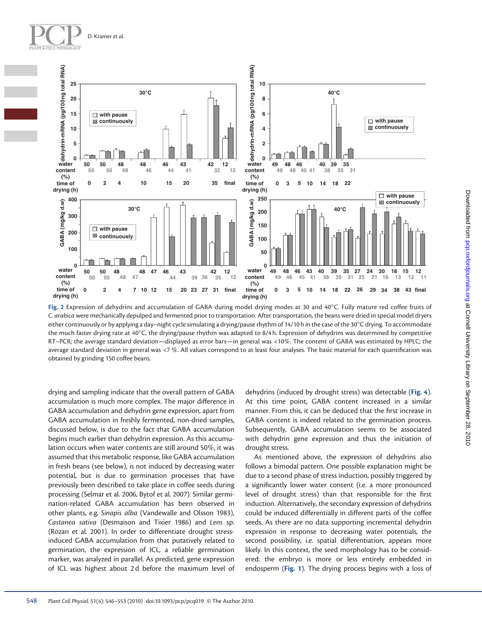



Fig. 2 Expression of dehydrins and accumulation of GABA during model drying modes at 30 and 40°C. Fully mature red coffee fruits of *C. arabica* were mechanically depulped and fermented prior to transportation. After transportation, the beans were dried in special model dryers either continuously or by applying a day–night cycle simulating a drying/pause rhythm of 14/10 h in the case of the 30°C drying. To accommodate the much faster drying rate at 40 $\degree$ C, the drying/pause rhythm was adapted to 8/4 h. Expression of dehydrins was determined by competitive RT–PCR; the average standard deviation—displayed as error bars—in general was <10 % . The content of GABA was estimated by HPLC; the average standard deviation in general was <7 %. All values correspond to at least four analyses. The basic material for each quantification was obtained by grinding 150 coffee beans.

drying and sampling indicate that the overall pattern of GABA accumulation is much more complex. The major difference in GABA accumulation and dehydrin gene expression, apart from GABA accumulation in freshly fermented, non-dried samples, discussed below, is due to the fact that GABA accumulation begins much earlier than dehydrin expression. As this accumulation occurs when water contents are still around 50%, it was assumed that this metabolic response, like GABA accumulation in fresh beans (see below), is not induced by decreasing water potential, but is due to germination processes that have previously been described to take place in coffee seeds during processing (Selmar et al. 2006, Bytof et al. 2007). Similar germination-related GABA accumulation has been observed in other plants, e.g. *Sinapis alba* ( Vandewalle and Olsson 1983 ), *Castanea sativa* ( Desmaison and Tixier 1986 ) and *Lens* sp. (Rozan et al. 2001). In order to differentiate drought stressinduced GABA accumulation from that putatively related to germination, the expression of ICL, a reliable germination marker, was analyzed in parallel. As predicted, gene expression of ICL was highest about 2d before the maximum level of

dehydrins (induced by drought stress) was detectable (**Fig. 4** ). At this time point, GABA content increased in a similar manner. From this, it can be deduced that the first increase in GABA content is indeed related to the germination process. Subsequently, GABA accumulation seems to be associated with dehydrin gene expression and thus the initiation of drought stress.

 As mentioned above, the expression of dehydrins also follows a bimodal pattern. One possible explanation might be due to a second phase of stress induction, possibly triggered by a significantly lower water content (i.e. a more pronounced level of drought stress) than that responsible for the first induction. Alternatively, the secondary expression of dehydrins could be induced differentially in different parts of the coffee seeds. As there are no data supporting incremental dehydrin expression in response to decreasing water potentials, the second possibility, i.e. spatial differentiation, appears more likely. In this context, the seed morphology has to be considered: the embryo is more or less entirely embedded in endosperm (Fig. 1). The drying process begins with a loss of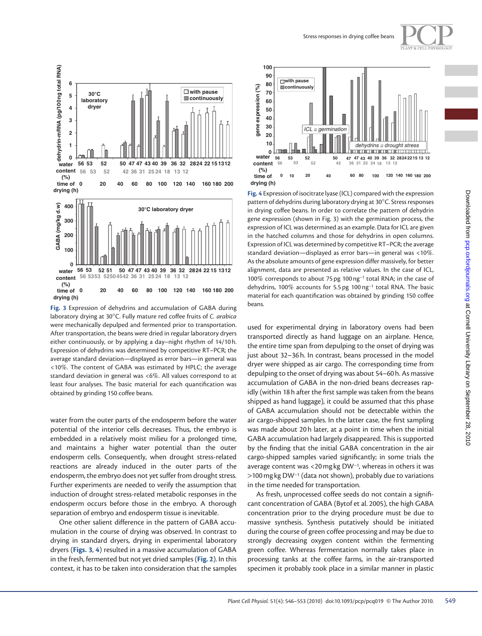

 **Fig. 3** Expression of dehydrins and accumulation of GABA during laboratory drying at 30°C. Fully mature red coffee fruits of *C. arabica* were mechanically depulped and fermented prior to transportation. After transportation, the beans were dried in regular laboratory dryers either continuously, or by applying a day–night rhythm of 14/10 h. Expression of dehydrins was determined by competitive RT–PCR; the average standard deviation—displayed as error bars—in general was <10 % . The content of GABA was estimated by HPLC; the average standard deviation in general was <6%. All values correspond to at least four analyses. The basic material for each quantification was obtained by grinding 150 coffee beans.

water from the outer parts of the endosperm before the water potential of the interior cells decreases. Thus, the embryo is embedded in a relatively moist milieu for a prolonged time, and maintains a higher water potential than the outer endosperm cells. Consequently, when drought stress-related reactions are already induced in the outer parts of the endosperm, the embryo does not yet suffer from drought stress. Further experiments are needed to verify the assumption that induction of drought stress-related metabolic responses in the endosperm occurs before those in the embryo. A thorough separation of embryo and endosperm tissue is inevitable.

 One other salient difference in the pattern of GABA accumulation in the course of drying was observed. In contrast to drying in standard dryers, drying in experimental laboratory dryers (Figs. 3, 4) resulted in a massive accumulation of GABA in the fresh, fermented but not yet dried samples ( **Fig. 2** ). In this context, it has to be taken into consideration that the samples





 **Fig. 4** Expression of isocitrate lyase (ICL) compared with the expression pattern of dehydrins during laboratory drying at 30 °C. Stress responses in drying coffee beans. In order to correlate the pattern of dehydrin gene expression (shown in Fig. 3) with the germination process, the expression of ICL was determined as an example. Data for ICL are given in the hatched columns and those for dehydrins in open columns. Expression of ICL was determined by competitive RT–PCR; the average standard deviation—displayed as error bars—in general was <10%. As the absolute amounts of gene expression differ massively, for better alignment, data are presented as relative values. In the case of ICL, 100% corresponds to about 75 pg 100 ng<sup>-1</sup> total RNA; in the case of dehydrins, 100% accounts for 5.5 pg 100 ng<sup>-1</sup> total RNA. The basic material for each quantification was obtained by grinding 150 coffee beans.

used for experimental drying in laboratory ovens had been transported directly as hand luggage on an airplane. Hence, the entire time span from depulping to the onset of drying was just about 32–36 h. In contrast, beans processed in the model dryer were shipped as air cargo. The corresponding time from depulping to the onset of drying was about 54–60 h. As massive accumulation of GABA in the non-dried beans decreases rapidly (within 18 h after the first sample was taken from the beans shipped as hand luggage), it could be assumed that this phase of GABA accumulation should not be detectable within the air cargo-shipped samples. In the latter case, the first sampling was made about 20 h later, at a point in time when the initial GABA accumulation had largely disappeared. This is supported by the finding that the initial GABA concentration in the air cargo-shipped samples varied significantly; in some trials the average content was <20 mg kg DW<sup>-1</sup>, whereas in others it was > 100 mg kg DW<sup>-1</sup> (data not shown), probably due to variations in the time needed for transportation.

As fresh, unprocessed coffee seeds do not contain a significant concentration of GABA ( Bytof et al. 2005 ), the high GABA concentration prior to the drying procedure must be due to massive synthesis. Synthesis putatively should be initiated during the course of green coffee processing and may be due to strongly decreasing oxygen content within the fermenting green coffee. Whereas fermentation normally takes place in processing tanks at the coffee farms, in the air-transported specimen it probably took place in a similar manner in plastic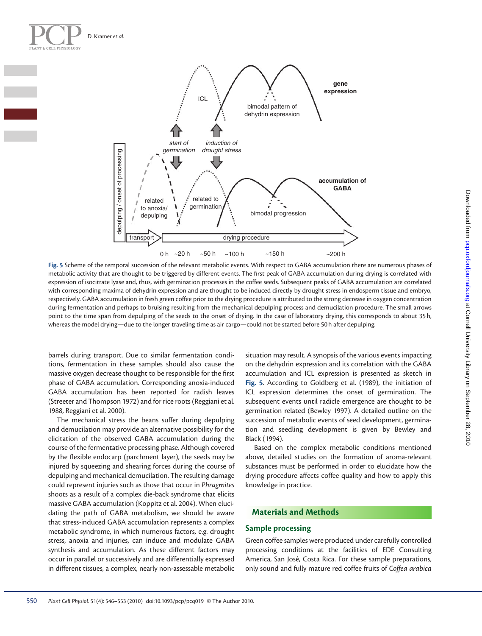

 **Fig. 5** Scheme of the temporal succession of the relevant metabolic events. With respect to GABA accumulation there are numerous phases of metabolic activity that are thought to be triggered by different events. The first peak of GABA accumulation during drying is correlated with expression of isocitrate lyase and, thus, with germination processes in the coffee seeds. Subsequent peaks of GABA accumulation are correlated with corresponding maxima of dehydrin expression and are thought to be induced directly by drought stress in endosperm tissue and embryo, respectively. GABA accumulation in fresh green coffee prior to the drying procedure is attributed to the strong decrease in oxygen concentration during fermentation and perhaps to bruising resulting from the mechanical depulping process and demucilation procedure. The small arrows point to the time span from depulping of the seeds to the onset of drying. In the case of laboratory drying, this corresponds to about 35 h, whereas the model drying—due to the longer traveling time as air cargo—could not be started before 50 h after depulping.

barrels during transport. Due to similar fermentation conditions, fermentation in these samples should also cause the massive oxygen decrease thought to be responsible for the first phase of GABA accumulation. Corresponding anoxia-induced GABA accumulation has been reported for radish leaves (Streeter and Thompson 1972) and for rice roots (Reggiani et al. 1988 , Reggiani et al. 2000 ).

 The mechanical stress the beans suffer during depulping and demucilation may provide an alternative possibility for the elicitation of the observed GABA accumulation during the course of the fermentative processing phase. Although covered by the flexible endocarp (parchment layer), the seeds may be injured by squeezing and shearing forces during the course of depulping and mechanical demucilation. The resulting damage could represent injuries such as those that occur in *Phragmites* shoots as a result of a complex die-back syndrome that elicits massive GABA accumulation (Koppitz et al. 2004). When elucidating the path of GABA metabolism, we should be aware that stress-induced GABA accumulation represents a complex metabolic syndrome, in which numerous factors, e.g. drought stress, anoxia and injuries, can induce and modulate GABA synthesis and accumulation. As these different factors may occur in parallel or successively and are differentially expressed in different tissues, a complex, nearly non-assessable metabolic

situation may result. A synopsis of the various events impacting on the dehydrin expression and its correlation with the GABA accumulation and ICL expression is presented as sketch in Fig. 5. According to Goldberg et al. (1989), the initiation of ICL expression determines the onset of germination. The subsequent events until radicle emergence are thought to be germination related (Bewley 1997). A detailed outline on the succession of metabolic events of seed development, germination and seedling development is given by Bewley and Black (1994).

 Based on the complex metabolic conditions mentioned above, detailed studies on the formation of aroma-relevant substances must be performed in order to elucidate how the drying procedure affects coffee quality and how to apply this knowledge in practice.

## **Materials and Methods**

## **Sample processing**

 Green coffee samples were produced under carefully controlled processing conditions at the facilities of EDE Consulting America, San José, Costa Rica. For these sample preparations, only sound and fully mature red coffee fruits of *Coffea arabica*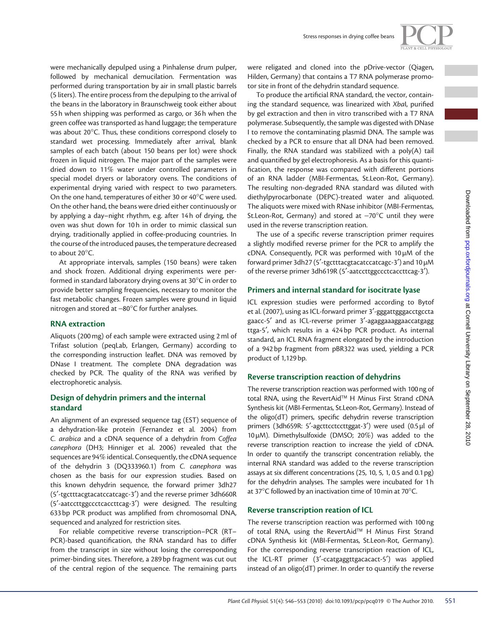were mechanically depulped using a Pinhalense drum pulper, followed by mechanical demucilation. Fermentation was performed during transportation by air in small plastic barrels (5 liters). The entire process from the depulping to the arrival of the beans in the laboratory in Braunschweig took either about 55 h when shipping was performed as cargo, or 36 h when the green coffee was transported as hand luggage; the temperature was about 20°C. Thus, these conditions correspond closely to standard wet processing. Immediately after arrival, blank samples of each batch (about 150 beans per lot) were shock frozen in liquid nitrogen. The major part of the samples were dried down to 11% water under controlled parameters in special model dryers or laboratory ovens. The conditions of experimental drying varied with respect to two parameters. On the one hand, temperatures of either 30 or 40°C were used. On the other hand, the beans were dried either continuously or by applying a day–night rhythm, e.g. after 14 h of drying, the oven was shut down for 10 h in order to mimic classical sun drying, traditionally applied in coffee-producing countries. In the course of the introduced pauses, the temperature decreased to about  $20^{\circ}$ C.

 At appropriate intervals, samples (150 beans) were taken and shock frozen. Additional drying experiments were performed in standard laboratory drying ovens at  $30^{\circ}$ C in order to provide better sampling frequencies, necessary to monitor the fast metabolic changes. Frozen samples were ground in liquid nitrogen and stored at −80°C for further analyses.

## **RNA extraction**

 Aliquots (200 mg) of each sample were extracted using 2 ml of Trifast solution (peqLab, Erlangen, Germany) according to the corresponding instruction leaflet. DNA was removed by DNase I treatment. The complete DNA degradation was checked by PCR. The quality of the RNA was verified by electrophoretic analysis.

## **Design of dehydrin primers and the internal standard**

 An alignment of an expressed sequence tag (EST) sequence of a dehydration-like protein (Fernandez et al. 2004) from *C. arabica* and a cDNA sequence of a dehydrin from *Coffea*  canephora (DH3; Hinniger et al. 2006) revealed that the sequences are 94% identical. Consequently, the cDNA sequence of the dehydrin 3 (DQ333960.1) from *C. canephora* was chosen as the basis for our expression studies. Based on this known dehydrin sequence, the forward primer 3dh27 (5 ′ -tgctttacgtacatccatcagc-3 ′ ) and the reverse primer 3dh660R (5'-aatccttggccctcaccttcag-3') were designed. The resulting 633 bp PCR product was amplified from chromosomal DNA, sequenced and analyzed for restriction sites.

 For reliable competitive reverse transcription–PCR (RT– PCR)-based quantification, the RNA standard has to differ from the transcript in size without losing the corresponding primer-binding sites. Therefore, a 289 bp fragment was cut out of the central region of the sequence. The remaining parts were religated and cloned into the pDrive-vector (Qiagen, Hilden, Germany) that contains a T7 RNA polymerase promotor site in front of the dehydrin standard sequence.

To produce the artificial RNA standard, the vector, containing the standard sequence, was linearized with *Xbal*, purified by gel extraction and then in vitro transcribed with a T7 RNA polymerase. Subsequently, the sample was digested with DNase I to remove the contaminating plasmid DNA. The sample was checked by a PCR to ensure that all DNA had been removed. Finally, the RNA standard was stabilized with a poly(A) tail and quantified by gel electrophoresis. As a basis for this quantification, the response was compared with different portions of an RNA ladder (MBI-Fermentas, St.Leon-Rot, Germany). The resulting non-degraded RNA standard was diluted with diethylpyrocarbonate (DEPC)-treated water and aliquoted. The aliquots were mixed with RNase inhibitor (MBI-Fermentas, St.Leon-Rot, Germany) and stored at −70°C until they were used in the reverse transcription reation.

The use of a specific reverse transcription primer requires a slightly modified reverse primer for the PCR to amplify the cDNA. Consequently, PCR was performed with 10 µM of the forward primer 3dh27 (5'-tgctttacgtacatccatcagc-3') and  $10 \mu$ M of the reverse primer 3dh619R (5'-aatccttggccctcaccttcag-3').

# **Primers and internal standard for isocitrate lyase**

 ICL expression studies were performed according to Bytof et al. (2007) , using as ICL-forward primer 3 ′ -gggattgggacctgccta gaacc-5' and as ICL-reverse primer 3'-agaggaaaggaaccatgagg ttga-5', which results in a 424 bp PCR product. As internal standard, an ICL RNA fragment elongated by the introduction of a 942 bp fragment from pBR322 was used, yielding a PCR product of 1,129 bp.

# **Reverse transcription reaction of dehydrins**

 The reverse transcription reaction was performed with 100 ng of total RNA, using the RevertAid<sup>™</sup> H Minus First Strand cDNA Synthesis kit (MBI-Fermentas, St.Leon-Rot, Germany). Instead of the oligo(dT) primers, specific dehydrin reverse transcription primers (3dh659R: 5'-agcttcctccttggat-3') were used (0.5 µl of  $10 \mu$ M). Dimethylsulfoxide (DMSO; 20%) was added to the reverse transcription reaction to increase the yield of cDNA. In order to quantify the transcript concentration reliably, the internal RNA standard was added to the reverse transcription assays at six different concentrations (25, 10, 5, 1, 0.5 and 0.1 pg) for the dehydrin analyses. The samples were incubated for 1 h at 37 $\mathrm{^{\circ}C}$  followed by an inactivation time of 10 min at 70 $\mathrm{^{\circ}C}$ .

## **Reverse transcription reation of ICL**

 The reverse transcription reaction was performed with 100 ng of total RNA, using the RevertAid™ H Minus First Strand cDNA Synthesis kit (MBI-Fermentas, St.Leon-Rot, Germany). For the corresponding reverse transcription reaction of ICL, the ICL-RT primer (3'-ccatgaggttgacacact-5') was applied instead of an oligo(dT) primer. In order to quantify the reverse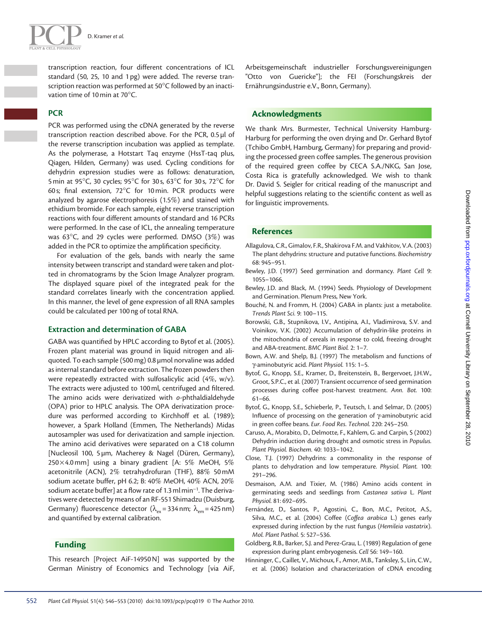

transcription reaction, four different concentrations of ICL standard (50, 25, 10 and 1 pg) were added. The reverse transcription reaction was performed at 50°C followed by an inactivation time of 10 min at 70 $^{\circ}$ C.

## **PCR**

 PCR was performed using the cDNA generated by the reverse transcription reaction described above. For the PCR, 0.5 µl of the reverse transcription incubation was applied as template. As the polymerase, a Hotstart Taq enzyme (HssT-taq plus, Qiagen, Hilden, Germany) was used. Cycling conditions for dehydrin expression studies were as follows: denaturation, 5 min at 95 $\degree$ C, 30 cycles; 95 $\degree$ C for 30s, 63 $\degree$ C for 30s, 72 $\degree$ C for 60 s; final extension,  $72^{\circ}$ C for 10 min. PCR products were analyzed by agarose electrophoresis  $(1.5\%)$  and stained with ethidium bromide. For each sample, eight reverse transcription reactions with four different amounts of standard and 16 PCRs were performed. In the case of ICL, the annealing temperature was  $63^{\circ}$ C, and 29 cycles were performed. DMSO  $(3\%)$  was added in the PCR to optimize the amplification specificity.

 For evaluation of the gels, bands with nearly the same intensity between transcript and standard were taken and plotted in chromatograms by the Scion Image Analyzer program. The displayed square pixel of the integrated peak for the standard correlates linearly with the concentration applied. In this manner, the level of gene expression of all RNA samples could be calculated per 100 ng of total RNA.

### **Extraction and determination of GABA**

GABA was quantified by HPLC according to Bytof et al. (2005). Frozen plant material was ground in liquid nitrogen and aliquoted. To each sample (500 mg) 0.8 µmol norvaline was added as internal standard before extraction. The frozen powders then were repeatedly extracted with sulfosalicylic acid (4%,  $w/v$ ). The extracts were adjusted to 100 ml, centrifuged and filtered. The amino acids were derivatized with *o* -phthaldialdehyde (OPA) prior to HPLC analysis. The OPA derivatization procedure was performed according to Kirchhoff et al. (1989); however, a Spark Holland (Emmen, The Netherlands) Midas autosampler was used for derivatization and sample injection. The amino acid derivatives were separated on a C18 column [Nucleosil 100, 5 µm, Macherey & Nagel (Düren, Germany),  $250 \times 4.0$  mm] using a binary gradient [A: 5% MeOH, 5% acetonitrile (ACN), 2% tetrahydrofuran (THF), 88% 50 mM sodium acetate buffer, pH 6.2; B: 40% MeOH, 40% ACN, 20% sodium acetate buffer] at a flow rate of 1.3 ml min<sup>-1</sup>. The derivatives were detected by means of an RF-551 Shimadzu (Duisburg, Germany) fluorescence detector ( $\lambda_{ex}$  = 334 nm;  $\lambda_{em}$  = 425 nm) and quantified by external calibration.

## **Funding**

 This research [Project AiF-14950 N] was supported by the German Ministry of Economics and Technology [via AiF, Arbeitsgemeinschaft industrieller Forschungsvereinigungen "Otto von Guericke"]; the FEI (Forschungskreis der Ernährungsindustrie e.V., Bonn, Germany).

## **Acknowledgments**

We thank Mrs. Burmester, Technical University Hamburg-Harburg for performing the oven drying and Dr. Gerhard Bytof (Tchibo GmbH, Hamburg, Germany) for preparing and providing the processed green coffee samples. The generous provision of the required green coffee by CECA S.A./NKG, San Jose, Costa Rica is gratefully acknowledged. We wish to thank Dr. David S. Seigler for critical reading of the manuscript and helpful suggestions relating to the scientific content as well as for linguistic improvements.

#### **References**

- Allagulova, C.R., Gimalov, F.R., Shakirova F.M. and Vakhitov, V.A. (2003) The plant dehydrins: structure and putative functions . *Biochemistry* 68: 945-951.
- Bewley, J.D. (1997) Seed germination and dormancy. *Plant Cell 9*: 1055 – 1066.
- Bewley, J.D. and Black, M. (1994) Seeds. Physiology of Development and Germination. Plenum Press, New York.
- Bouché, N. and Fromm, H. (2004) GABA in plants: just a metabolite. *Trends Plant Sci.* 9: 100-115.
- Borowski, G.B., Stupnikova, I.V., Antipina, A.I., Vladimirova, S.V. and Voinikov, V.K. (2002) Accumulation of dehydrin-like proteins in the mitochondria of cereals in response to cold, freezing drought and ABA-treatment. BMC Plant Biol. 2: 1-7.
- Bown, A.W. and Shelp, B.J. (1997) The metabolism and functions of γ-aminobutyric acid. Plant Physiol. 115: 1-5.
- Bytof, G., Knopp, S.E., Kramer, D., Breitenstein, B., Bergervoet, J.H.W., Groot, S.P.C., et al. (2007) Transient occurrence of seed germination processes during coffee post-harvest treatment. Ann. Bot. 100:  $61 - 66.$
- Bytof, G., Knopp, S.E., Schieberle, P., Teutsch, I. and Selmar, D. (2005) Influence of processing on the generation of γ-aminobutyric acid in green coffee beans. *Eur. Food Res. Technol.* 220: 245-250.
- Caruso, A., Morabito, D., Delmotte, F., Kahlem, G. and Carpin, S (2002) Dehydrin induction during drought and osmotic stress in *Populus.* Plant Physiol. Biochem. 40: 1033-1042.
- Close, T.J. (1997) Dehydrins: a commonality in the response of plants to dehydration and low temperature. *Physiol. Plant.* 100:  $291 - 296.$
- Desmaison, A.M. and Tixier, M. (1986) Amino acids content in germinating seeds and seedlings from *Castanea sativa* L . *Plant*  Physiol. 81: 692-695.
- Fernández, D., Santos, P., Agostini, C., Bon, M.C., Petitot, A.S., Silva, M.C., et al. (2004) Coffee (Coffea arabica L.) genes early expressed during infection by the rust fungus (*Hemileia vastatrix*). *Mol. Plant Pathol.* 5: 527-536.
- Goldberg, R.B., Barker, S.J. and Perez-Grau, L. (1989) Regulation of gene expression during plant embryogenesis. Cell 56: 149-160.
- Hinninger, C., Caillet, V., Michoux, F., Amor, M.B., Tanksley, S., Lin, C.W., et al. (2006) Isolation and characterization of cDNA encoding